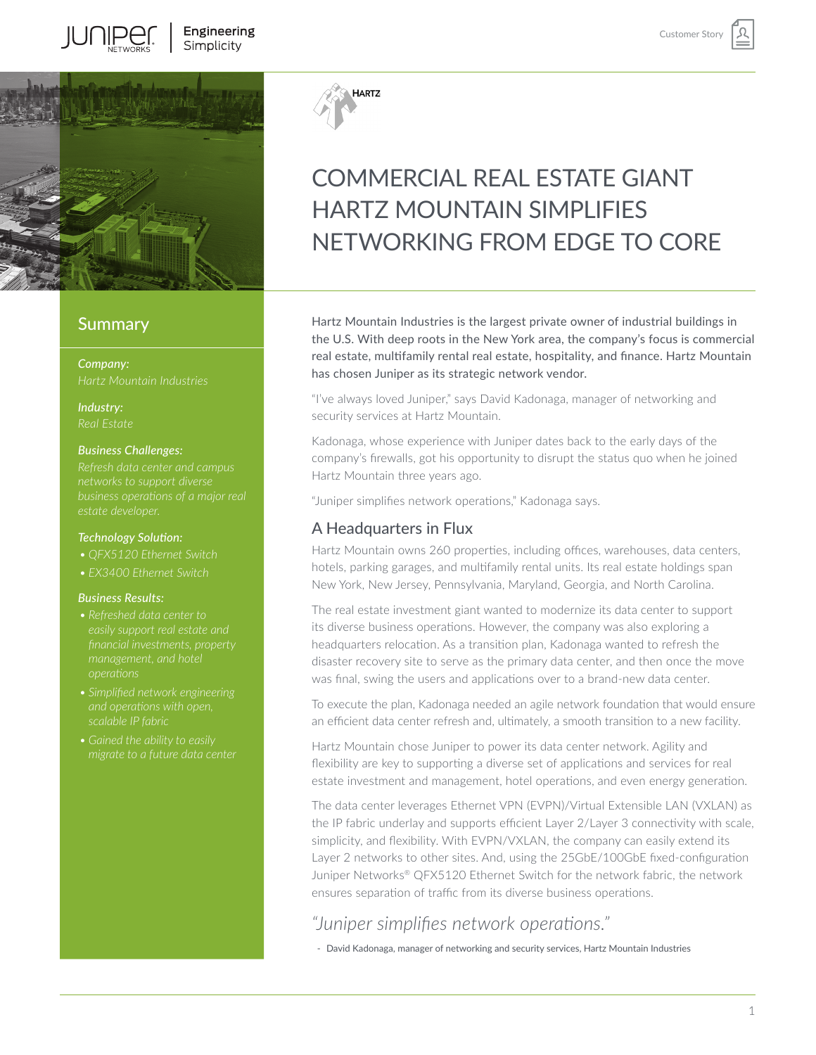

### **Summary**

*Company:*

*Industry:*

#### *Business Challenges:*

#### *Technology Solution:*

- *• QFX5120 Ethernet Switch*
- *• EX3400 Ethernet Switch*

#### *Business Results:*

- *financial investments, property*
- *• Simplified network engineering and operations with open, scalable IP fabric*
- 



# COMMERCIAL REAL ESTATE GIANT HARTZ MOUNTAIN SIMPLIFIES NETWORKING FROM EDGE TO CORE

Hartz Mountain Industries is the largest private owner of industrial buildings in the U.S. With deep roots in the New York area, the company's focus is commercial real estate, multifamily rental real estate, hospitality, and finance. Hartz Mountain has chosen Juniper as its strategic network vendor.

"I've always loved Juniper," says David Kadonaga, manager of networking and security services at Hartz Mountain.

Kadonaga, whose experience with Juniper dates back to the early days of the company's firewalls, got his opportunity to disrupt the status quo when he joined Hartz Mountain three years ago.

"Juniper simplifies network operations," Kadonaga says.

#### A Headquarters in Flux

Hartz Mountain owns 260 properties, including offices, warehouses, data centers, hotels, parking garages, and multifamily rental units. Its real estate holdings span New York, New Jersey, Pennsylvania, Maryland, Georgia, and North Carolina.

The real estate investment giant wanted to modernize its data center to support its diverse business operations. However, the company was also exploring a headquarters relocation. As a transition plan, Kadonaga wanted to refresh the disaster recovery site to serve as the primary data center, and then once the move was final, swing the users and applications over to a brand-new data center.

To execute the plan, Kadonaga needed an agile network foundation that would ensure an efficient data center refresh and, ultimately, a smooth transition to a new facility.

Hartz Mountain chose Juniper to power its data center network. Agility and flexibility are key to supporting a diverse set of applications and services for real estate investment and management, hotel operations, and even energy generation.

The data center leverages Ethernet VPN (EVPN)/Virtual Extensible LAN (VXLAN) as the IP fabric underlay and supports efficient Layer 2/Layer 3 connectivity with scale, simplicity, and flexibility. With EVPN/VXLAN, the company can easily extend its Layer 2 networks to other sites. And, using the 25GbE/100GbE fixed-configuration Juniper Networks® QFX5120 Ethernet Switch for the network fabric, the network ensures separation of traffic from its diverse business operations.

# *"Juniper simplifies network operations."*

- David Kadonaga, manager of networking and security services, Hartz Mountain Industries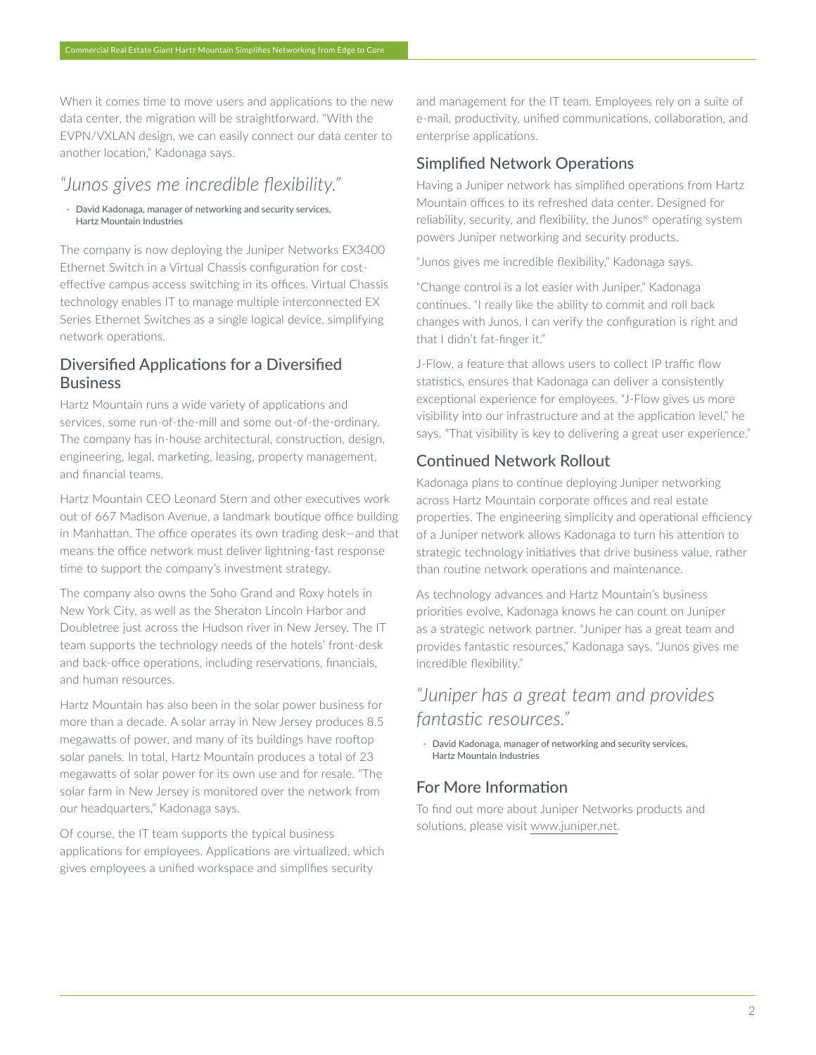When it comes time to move users and applications to the new data center, the migration will be straightforward. "With the EVPN/VXLAN design, we can easily connect our data center to another location," Kadonaga says.

# *"Junos gives me incredible flexibility."*

- David Kadonaga, manager of networking and security services, Hartz Mountain Industries

The company is now deploying the Juniper Networks EX3400 Ethernet Switch in a Virtual Chassis configuration for costeffective campus access switching in its offices. Virtual Chassis technology enables IT to manage multiple interconnected EX Series Ethernet Switches as a single logical device, simplifying network operations.

## Diversified Applications for a Diversified Business

Hartz Mountain runs a wide variety of applications and services, some run-of-the-mill and some out-of-the-ordinary. The company has in-house architectural, construction, design, engineering, legal, marketing, leasing, property management, and financial teams.

Hartz Mountain CEO Leonard Stern and other executives work out of 667 Madison Avenue, a landmark boutique office building in Manhattan. The office operates its own trading desk—and that means the office network must deliver lightning-fast response time to support the company's investment strategy.

The company also owns the Soho Grand and Roxy hotels in New York City, as well as the Sheraton Lincoln Harbor and Doubletree just across the Hudson river in New Jersey. The IT team supports the technology needs of the hotels' front-desk and back-office operations, including reservations, financials, and human resources.

Hartz Mountain has also been in the solar power business for more than a decade. A solar array in New Jersey produces 8.5 megawatts of power, and many of its buildings have rooftop solar panels. In total, Hartz Mountain produces a total of 23 megawatts of solar power for its own use and for resale. "The solar farm in New Jersey is monitored over the network from our headquarters," Kadonaga says.

Of course, the IT team supports the typical business applications for employees. Applications are virtualized, which gives employees a unified workspace and simplifies security

and management for the IT team. Employees rely on a suite of e-mail, productivity, unified communications, collaboration, and enterprise applications.

## Simplified Network Operations

Having a Juniper network has simplified operations from Hartz Mountain offices to its refreshed data center. Designed for reliability, security, and flexibility, the Junos® operating system powers Juniper networking and security products.

"Junos gives me incredible flexibility," Kadonaga says.

"Change control is a lot easier with Juniper," Kadonaga continues. "I really like the ability to commit and roll back changes with Junos. I can verify the configuration is right and that I didn't fat-finger it."

J-Flow, a feature that allows users to collect IP traffic flow statistics, ensures that Kadonaga can deliver a consistently exceptional experience for employees. "J-Flow gives us more visibility into our infrastructure and at the application level," he says. "That visibility is key to delivering a great user experience."

## Continued Network Rollout

Kadonaga plans to continue deploying Juniper networking across Hartz Mountain corporate offices and real estate properties. The engineering simplicity and operational efficiency of a Juniper network allows Kadonaga to turn his attention to strategic technology initiatives that drive business value, rather than routine network operations and maintenance.

As technology advances and Hartz Mountain's business priorities evolve, Kadonaga knows he can count on Juniper as a strategic network partner. "Juniper has a great team and provides fantastic resources," Kadonaga says. "Junos gives me incredible flexibility."

# *"Juniper has a great team and provides fantastic resources."*

- David Kadonaga, manager of networking and security services, Hartz Mountain Industries

## For More Information

To find out more about Juniper Networks products and solutions, please visit [www.juniper.net](http://www.juniper.net).